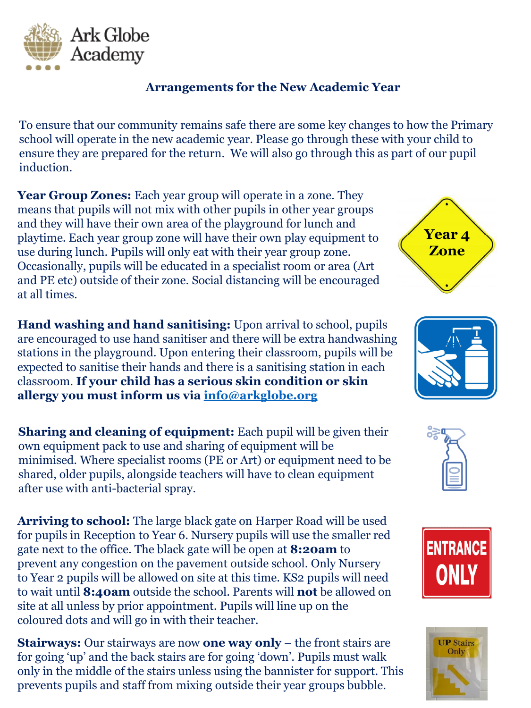

## **Arrangements for the New Academic Year**

To ensure that our community remains safe there are some key changes to how the Primary school will operate in the new academic year. Please go through these with your child to ensure they are prepared for the return. We will also go through this as part of our pupil induction.

Year Group Zones: Each year group will operate in a zone. They means that pupils will not mix with other pupils in other year groups and they will have their own area of the playground for lunch and playtime. Each year group zone will have their own play equipment to use during lunch. Pupils will only eat with their year group zone. Occasionally, pupils will be educated in a specialist room or area (Art and PE etc) outside of their zone. Social distancing will be encouraged at all times.

**Hand washing and hand sanitising:** Upon arrival to school, pupils are encouraged to use hand sanitiser and there will be extra handwashing stations in the playground. Upon entering their classroom, pupils will be expected to sanitise their hands and there is a sanitising station in each classroom. **If your child has a serious skin condition or skin allergy you must inform us via [info@arkglobe.org](mailto:info@arkglobe.org)**

**Sharing and cleaning of equipment:** Each pupil will be given their own equipment pack to use and sharing of equipment will be minimised. Where specialist rooms (PE or Art) or equipment need to be shared, older pupils, alongside teachers will have to clean equipment after use with anti-bacterial spray.

**Arriving to school:** The large black gate on Harper Road will be used for pupils in Reception to Year 6. Nursery pupils will use the smaller red gate next to the office. The black gate will be open at **8:20am** to prevent any congestion on the pavement outside school. Only Nursery to Year 2 pupils will be allowed on site at this time. KS2 pupils will need to wait until **8:40am** outside the school. Parents will **not** be allowed on site at all unless by prior appointment. Pupils will line up on the coloured dots and will go in with their teacher.

**Stairways:** Our stairways are now **one way only** – the front stairs are for going 'up' and the back stairs are for going 'down'. Pupils must walk only in the middle of the stairs unless using the bannister for support. This prevents pupils and staff from mixing outside their year groups bubble.